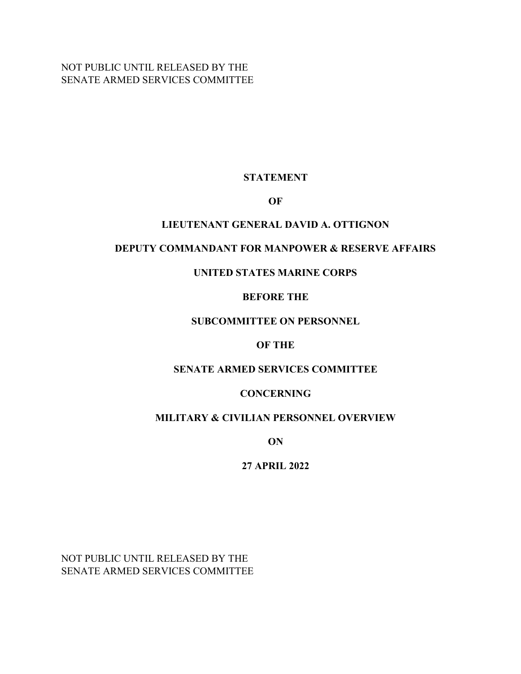NOT PUBLIC UNTIL RELEASED BY THE SENATE ARMED SERVICES COMMITTEE

# **STATEMENT**

## **OF**

# **LIEUTENANT GENERAL DAVID A. OTTIGNON**

# **DEPUTY COMMANDANT FOR MANPOWER & RESERVE AFFAIRS**

# **UNITED STATES MARINE CORPS**

# **BEFORE THE**

# **SUBCOMMITTEE ON PERSONNEL**

## **OF THE**

### **SENATE ARMED SERVICES COMMITTEE**

# **CONCERNING**

# **MILITARY & CIVILIAN PERSONNEL OVERVIEW**

**ON**

# **27 APRIL 2022**

NOT PUBLIC UNTIL RELEASED BY THE SENATE ARMED SERVICES COMMITTEE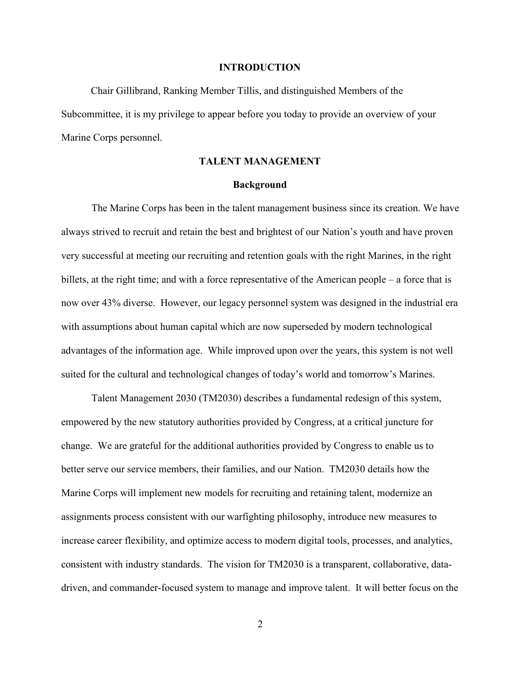#### **INTRODUCTION**

Chair Gillibrand, Ranking Member Tillis, and distinguished Members of the Subcommittee, it is my privilege to appear before you today to provide an overview of your Marine Corps personnel.

### **TALENT MANAGEMENT**

### **Background**

The Marine Corps has been in the talent management business since its creation. We have always strived to recruit and retain the best and brightest of our Nation's youth and have proven very successful at meeting our recruiting and retention goals with the right Marines, in the right billets, at the right time; and with a force representative of the American people – a force that is now over 43% diverse. However, our legacy personnel system was designed in the industrial era with assumptions about human capital which are now superseded by modern technological advantages of the information age. While improved upon over the years, this system is not well suited for the cultural and technological changes of today's world and tomorrow's Marines.

Talent Management 2030 (TM2030) describes a fundamental redesign of this system, empowered by the new statutory authorities provided by Congress, at a critical juncture for change. We are grateful for the additional authorities provided by Congress to enable us to better serve our service members, their families, and our Nation. TM2030 details how the Marine Corps will implement new models for recruiting and retaining talent, modernize an assignments process consistent with our warfighting philosophy, introduce new measures to increase career flexibility, and optimize access to modern digital tools, processes, and analytics, consistent with industry standards. The vision for TM2030 is a transparent, collaborative, datadriven, and commander-focused system to manage and improve talent. It will better focus on the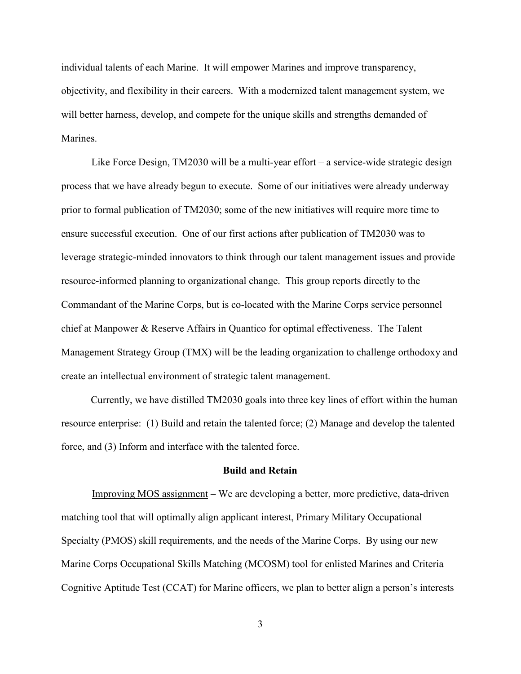individual talents of each Marine. It will empower Marines and improve transparency, objectivity, and flexibility in their careers. With a modernized talent management system, we will better harness, develop, and compete for the unique skills and strengths demanded of Marines.

Like Force Design, TM2030 will be a multi-year effort – a service-wide strategic design process that we have already begun to execute. Some of our initiatives were already underway prior to formal publication of TM2030; some of the new initiatives will require more time to ensure successful execution. One of our first actions after publication of TM2030 was to leverage strategic-minded innovators to think through our talent management issues and provide resource-informed planning to organizational change. This group reports directly to the Commandant of the Marine Corps, but is co-located with the Marine Corps service personnel chief at Manpower & Reserve Affairs in Quantico for optimal effectiveness. The Talent Management Strategy Group (TMX) will be the leading organization to challenge orthodoxy and create an intellectual environment of strategic talent management.

Currently, we have distilled TM2030 goals into three key lines of effort within the human resource enterprise: (1) Build and retain the talented force; (2) Manage and develop the talented force, and (3) Inform and interface with the talented force.

### **Build and Retain**

Improving MOS assignment – We are developing a better, more predictive, data-driven matching tool that will optimally align applicant interest, Primary Military Occupational Specialty (PMOS) skill requirements, and the needs of the Marine Corps. By using our new Marine Corps Occupational Skills Matching (MCOSM) tool for enlisted Marines and Criteria Cognitive Aptitude Test (CCAT) for Marine officers, we plan to better align a person's interests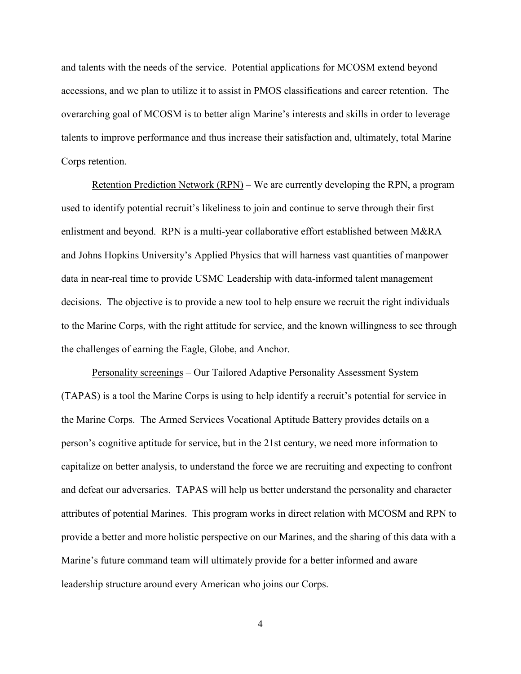and talents with the needs of the service. Potential applications for MCOSM extend beyond accessions, and we plan to utilize it to assist in PMOS classifications and career retention. The overarching goal of MCOSM is to better align Marine's interests and skills in order to leverage talents to improve performance and thus increase their satisfaction and, ultimately, total Marine Corps retention.

Retention Prediction Network (RPN) – We are currently developing the RPN, a program used to identify potential recruit's likeliness to join and continue to serve through their first enlistment and beyond. RPN is a multi-year collaborative effort established between M&RA and Johns Hopkins University's Applied Physics that will harness vast quantities of manpower data in near-real time to provide USMC Leadership with data-informed talent management decisions. The objective is to provide a new tool to help ensure we recruit the right individuals to the Marine Corps, with the right attitude for service, and the known willingness to see through the challenges of earning the Eagle, Globe, and Anchor.

Personality screenings – Our Tailored Adaptive Personality Assessment System (TAPAS) is a tool the Marine Corps is using to help identify a recruit's potential for service in the Marine Corps. The Armed Services Vocational Aptitude Battery provides details on a person's cognitive aptitude for service, but in the 21st century, we need more information to capitalize on better analysis, to understand the force we are recruiting and expecting to confront and defeat our adversaries. TAPAS will help us better understand the personality and character attributes of potential Marines. This program works in direct relation with MCOSM and RPN to provide a better and more holistic perspective on our Marines, and the sharing of this data with a Marine's future command team will ultimately provide for a better informed and aware leadership structure around every American who joins our Corps.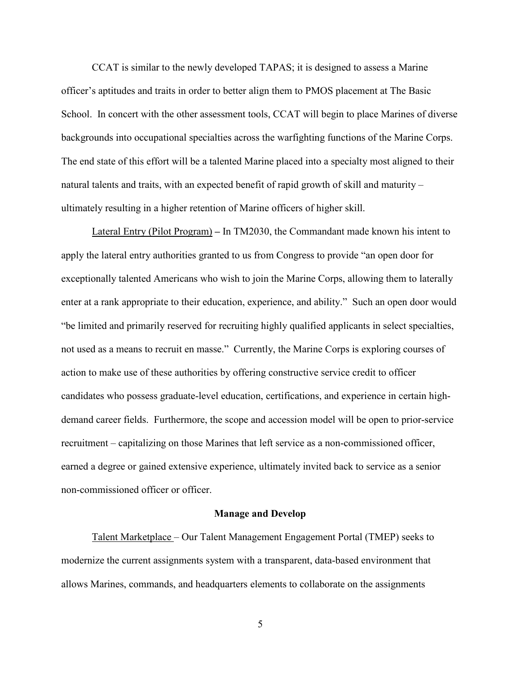CCAT is similar to the newly developed TAPAS; it is designed to assess a Marine officer's aptitudes and traits in order to better align them to PMOS placement at The Basic School. In concert with the other assessment tools, CCAT will begin to place Marines of diverse backgrounds into occupational specialties across the warfighting functions of the Marine Corps. The end state of this effort will be a talented Marine placed into a specialty most aligned to their natural talents and traits, with an expected benefit of rapid growth of skill and maturity – ultimately resulting in a higher retention of Marine officers of higher skill.

Lateral Entry (Pilot Program) **–** In TM2030, the Commandant made known his intent to apply the lateral entry authorities granted to us from Congress to provide "an open door for exceptionally talented Americans who wish to join the Marine Corps, allowing them to laterally enter at a rank appropriate to their education, experience, and ability." Such an open door would "be limited and primarily reserved for recruiting highly qualified applicants in select specialties, not used as a means to recruit en masse." Currently, the Marine Corps is exploring courses of action to make use of these authorities by offering constructive service credit to officer candidates who possess graduate-level education, certifications, and experience in certain highdemand career fields. Furthermore, the scope and accession model will be open to prior-service recruitment – capitalizing on those Marines that left service as a non-commissioned officer, earned a degree or gained extensive experience, ultimately invited back to service as a senior non-commissioned officer or officer.

#### **Manage and Develop**

Talent Marketplace – Our Talent Management Engagement Portal (TMEP) seeks to modernize the current assignments system with a transparent, data-based environment that allows Marines, commands, and headquarters elements to collaborate on the assignments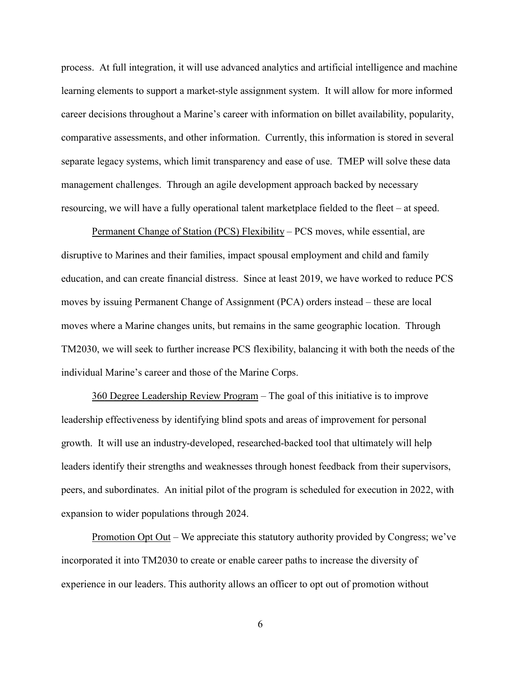process. At full integration, it will use advanced analytics and artificial intelligence and machine learning elements to support a market-style assignment system. It will allow for more informed career decisions throughout a Marine's career with information on billet availability, popularity, comparative assessments, and other information. Currently, this information is stored in several separate legacy systems, which limit transparency and ease of use. TMEP will solve these data management challenges. Through an agile development approach backed by necessary resourcing, we will have a fully operational talent marketplace fielded to the fleet – at speed.

Permanent Change of Station (PCS) Flexibility – PCS moves, while essential, are disruptive to Marines and their families, impact spousal employment and child and family education, and can create financial distress. Since at least 2019, we have worked to reduce PCS moves by issuing Permanent Change of Assignment (PCA) orders instead – these are local moves where a Marine changes units, but remains in the same geographic location. Through TM2030, we will seek to further increase PCS flexibility, balancing it with both the needs of the individual Marine's career and those of the Marine Corps.

360 Degree Leadership Review Program – The goal of this initiative is to improve leadership effectiveness by identifying blind spots and areas of improvement for personal growth. It will use an industry-developed, researched-backed tool that ultimately will help leaders identify their strengths and weaknesses through honest feedback from their supervisors, peers, and subordinates. An initial pilot of the program is scheduled for execution in 2022, with expansion to wider populations through 2024.

<u>Promotion Opt Out</u> – We appreciate this statutory authority provided by Congress; we've incorporated it into TM2030 to create or enable career paths to increase the diversity of experience in our leaders. This authority allows an officer to opt out of promotion without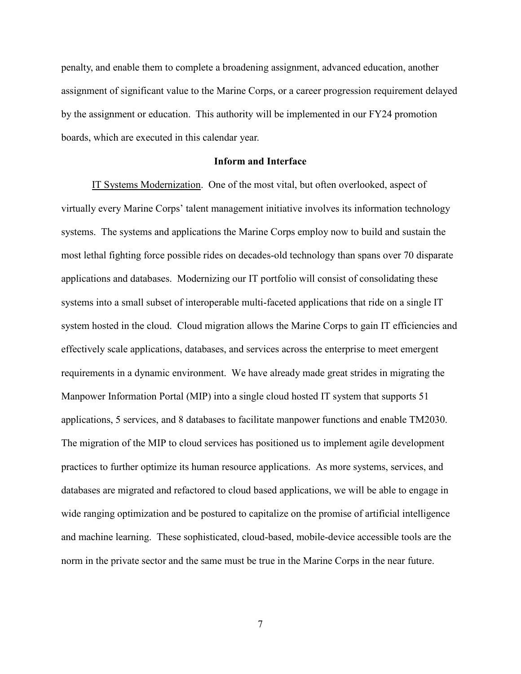penalty, and enable them to complete a broadening assignment, advanced education, another assignment of significant value to the Marine Corps, or a career progression requirement delayed by the assignment or education. This authority will be implemented in our FY24 promotion boards, which are executed in this calendar year.

### **Inform and Interface**

IT Systems Modernization. One of the most vital, but often overlooked, aspect of virtually every Marine Corps' talent management initiative involves its information technology systems. The systems and applications the Marine Corps employ now to build and sustain the most lethal fighting force possible rides on decades-old technology than spans over 70 disparate applications and databases. Modernizing our IT portfolio will consist of consolidating these systems into a small subset of interoperable multi-faceted applications that ride on a single IT system hosted in the cloud. Cloud migration allows the Marine Corps to gain IT efficiencies and effectively scale applications, databases, and services across the enterprise to meet emergent requirements in a dynamic environment. We have already made great strides in migrating the Manpower Information Portal (MIP) into a single cloud hosted IT system that supports 51 applications, 5 services, and 8 databases to facilitate manpower functions and enable TM2030. The migration of the MIP to cloud services has positioned us to implement agile development practices to further optimize its human resource applications. As more systems, services, and databases are migrated and refactored to cloud based applications, we will be able to engage in wide ranging optimization and be postured to capitalize on the promise of artificial intelligence and machine learning. These sophisticated, cloud-based, mobile-device accessible tools are the norm in the private sector and the same must be true in the Marine Corps in the near future.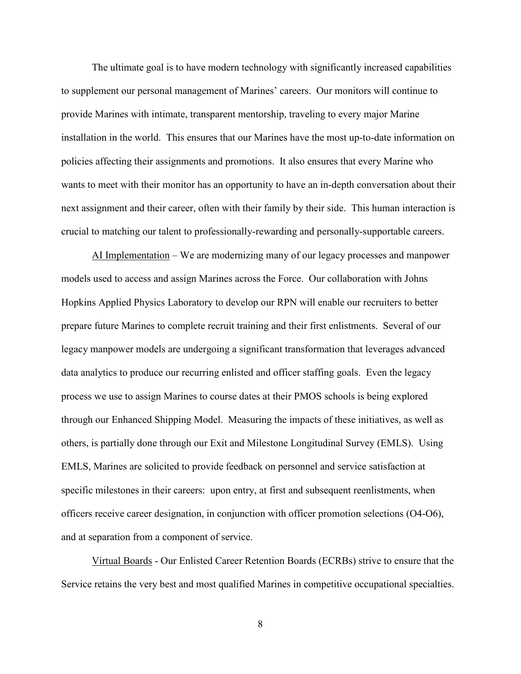The ultimate goal is to have modern technology with significantly increased capabilities to supplement our personal management of Marines' careers. Our monitors will continue to provide Marines with intimate, transparent mentorship, traveling to every major Marine installation in the world. This ensures that our Marines have the most up-to-date information on policies affecting their assignments and promotions. It also ensures that every Marine who wants to meet with their monitor has an opportunity to have an in-depth conversation about their next assignment and their career, often with their family by their side. This human interaction is crucial to matching our talent to professionally-rewarding and personally-supportable careers.

AI Implementation – We are modernizing many of our legacy processes and manpower models used to access and assign Marines across the Force. Our collaboration with Johns Hopkins Applied Physics Laboratory to develop our RPN will enable our recruiters to better prepare future Marines to complete recruit training and their first enlistments. Several of our legacy manpower models are undergoing a significant transformation that leverages advanced data analytics to produce our recurring enlisted and officer staffing goals. Even the legacy process we use to assign Marines to course dates at their PMOS schools is being explored through our Enhanced Shipping Model. Measuring the impacts of these initiatives, as well as others, is partially done through our Exit and Milestone Longitudinal Survey (EMLS). Using EMLS, Marines are solicited to provide feedback on personnel and service satisfaction at specific milestones in their careers: upon entry, at first and subsequent reenlistments, when officers receive career designation, in conjunction with officer promotion selections (O4-O6), and at separation from a component of service.

Virtual Boards - Our Enlisted Career Retention Boards (ECRBs) strive to ensure that the Service retains the very best and most qualified Marines in competitive occupational specialties.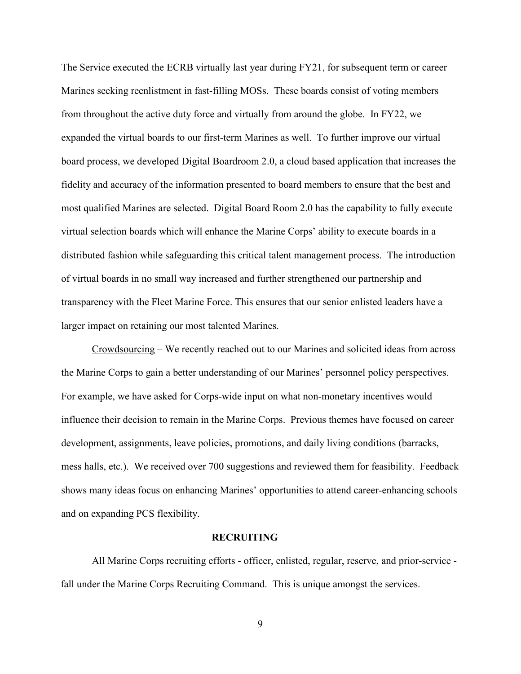The Service executed the ECRB virtually last year during FY21, for subsequent term or career Marines seeking reenlistment in fast-filling MOSs. These boards consist of voting members from throughout the active duty force and virtually from around the globe. In FY22, we expanded the virtual boards to our first-term Marines as well. To further improve our virtual board process, we developed Digital Boardroom 2.0, a cloud based application that increases the fidelity and accuracy of the information presented to board members to ensure that the best and most qualified Marines are selected. Digital Board Room 2.0 has the capability to fully execute virtual selection boards which will enhance the Marine Corps' ability to execute boards in a distributed fashion while safeguarding this critical talent management process. The introduction of virtual boards in no small way increased and further strengthened our partnership and transparency with the Fleet Marine Force. This ensures that our senior enlisted leaders have a larger impact on retaining our most talented Marines.

Crowdsourcing – We recently reached out to our Marines and solicited ideas from across the Marine Corps to gain a better understanding of our Marines' personnel policy perspectives. For example, we have asked for Corps-wide input on what non-monetary incentives would influence their decision to remain in the Marine Corps. Previous themes have focused on career development, assignments, leave policies, promotions, and daily living conditions (barracks, mess halls, etc.). We received over 700 suggestions and reviewed them for feasibility. Feedback shows many ideas focus on enhancing Marines' opportunities to attend career-enhancing schools and on expanding PCS flexibility.

#### **RECRUITING**

All Marine Corps recruiting efforts - officer, enlisted, regular, reserve, and prior-service fall under the Marine Corps Recruiting Command. This is unique amongst the services.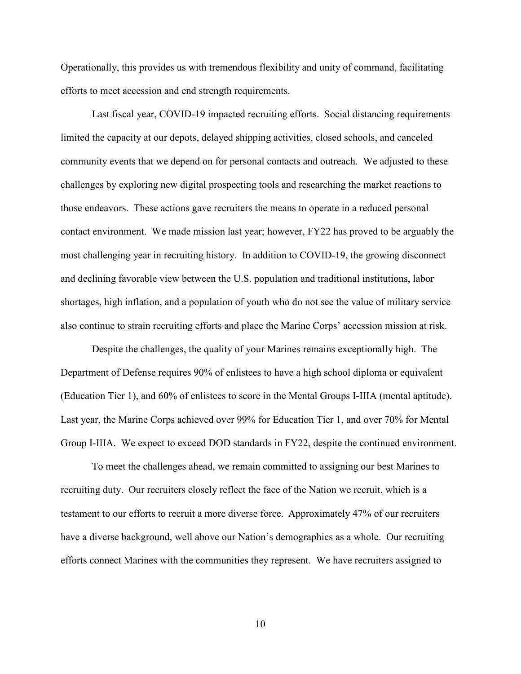Operationally, this provides us with tremendous flexibility and unity of command, facilitating efforts to meet accession and end strength requirements.

Last fiscal year, COVID-19 impacted recruiting efforts. Social distancing requirements limited the capacity at our depots, delayed shipping activities, closed schools, and canceled community events that we depend on for personal contacts and outreach. We adjusted to these challenges by exploring new digital prospecting tools and researching the market reactions to those endeavors. These actions gave recruiters the means to operate in a reduced personal contact environment. We made mission last year; however, FY22 has proved to be arguably the most challenging year in recruiting history. In addition to COVID-19, the growing disconnect and declining favorable view between the U.S. population and traditional institutions, labor shortages, high inflation, and a population of youth who do not see the value of military service also continue to strain recruiting efforts and place the Marine Corps' accession mission at risk.

Despite the challenges, the quality of your Marines remains exceptionally high. The Department of Defense requires 90% of enlistees to have a high school diploma or equivalent (Education Tier 1), and 60% of enlistees to score in the Mental Groups I-IIIA (mental aptitude). Last year, the Marine Corps achieved over 99% for Education Tier 1, and over 70% for Mental Group I-IIIA. We expect to exceed DOD standards in FY22, despite the continued environment.

To meet the challenges ahead, we remain committed to assigning our best Marines to recruiting duty. Our recruiters closely reflect the face of the Nation we recruit, which is a testament to our efforts to recruit a more diverse force. Approximately 47% of our recruiters have a diverse background, well above our Nation's demographics as a whole. Our recruiting efforts connect Marines with the communities they represent. We have recruiters assigned to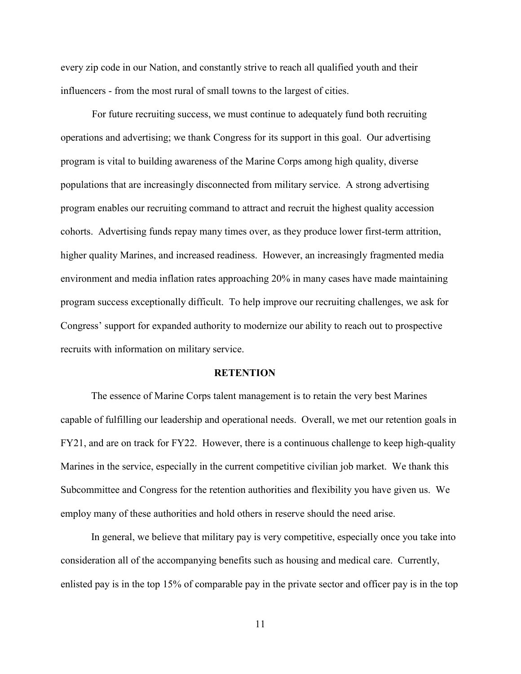every zip code in our Nation, and constantly strive to reach all qualified youth and their influencers - from the most rural of small towns to the largest of cities.

For future recruiting success, we must continue to adequately fund both recruiting operations and advertising; we thank Congress for its support in this goal. Our advertising program is vital to building awareness of the Marine Corps among high quality, diverse populations that are increasingly disconnected from military service. A strong advertising program enables our recruiting command to attract and recruit the highest quality accession cohorts. Advertising funds repay many times over, as they produce lower first-term attrition, higher quality Marines, and increased readiness. However, an increasingly fragmented media environment and media inflation rates approaching 20% in many cases have made maintaining program success exceptionally difficult. To help improve our recruiting challenges, we ask for Congress' support for expanded authority to modernize our ability to reach out to prospective recruits with information on military service.

#### **RETENTION**

The essence of Marine Corps talent management is to retain the very best Marines capable of fulfilling our leadership and operational needs. Overall, we met our retention goals in FY21, and are on track for FY22. However, there is a continuous challenge to keep high-quality Marines in the service, especially in the current competitive civilian job market. We thank this Subcommittee and Congress for the retention authorities and flexibility you have given us. We employ many of these authorities and hold others in reserve should the need arise.

In general, we believe that military pay is very competitive, especially once you take into consideration all of the accompanying benefits such as housing and medical care. Currently, enlisted pay is in the top 15% of comparable pay in the private sector and officer pay is in the top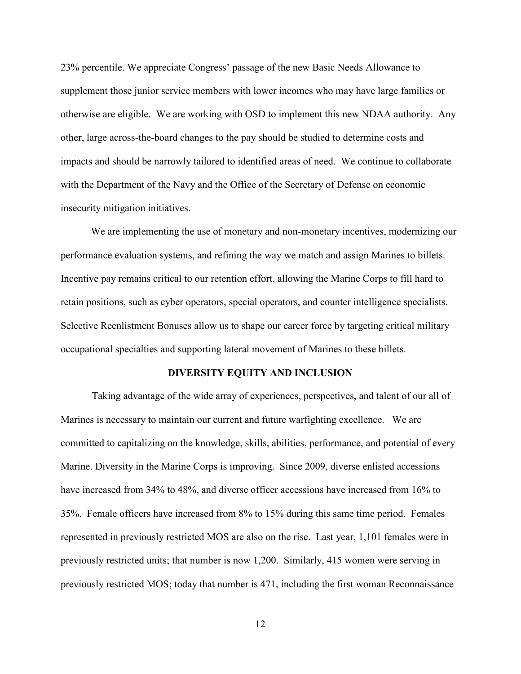23% percentile. We appreciate Congress' passage of the new Basic Needs Allowance to supplement those junior service members with lower incomes who may have large families or otherwise are eligible. We are working with OSD to implement this new NDAA authority. Any other, large across-the-board changes to the pay should be studied to determine costs and impacts and should be narrowly tailored to identified areas of need. We continue to collaborate with the Department of the Navy and the Office of the Secretary of Defense on economic insecurity mitigation initiatives.

We are implementing the use of monetary and non-monetary incentives, modernizing our performance evaluation systems, and refining the way we match and assign Marines to billets. Incentive pay remains critical to our retention effort, allowing the Marine Corps to fill hard to retain positions, such as cyber operators, special operators, and counter intelligence specialists. Selective Reenlistment Bonuses allow us to shape our career force by targeting critical military occupational specialties and supporting lateral movement of Marines to these billets.

### **DIVERSITY EQUITY AND INCLUSION**

Taking advantage of the wide array of experiences, perspectives, and talent of our all of Marines is necessary to maintain our current and future warfighting excellence. We are committed to capitalizing on the knowledge, skills, abilities, performance, and potential of every Marine. Diversity in the Marine Corps is improving. Since 2009, diverse enlisted accessions have increased from 34% to 48%, and diverse officer accessions have increased from 16% to 35%. Female officers have increased from 8% to 15% during this same time period. Females represented in previously restricted MOS are also on the rise. Last year, 1,101 females were in previously restricted units; that number is now 1,200. Similarly, 415 women were serving in previously restricted MOS; today that number is 471, including the first woman Reconnaissance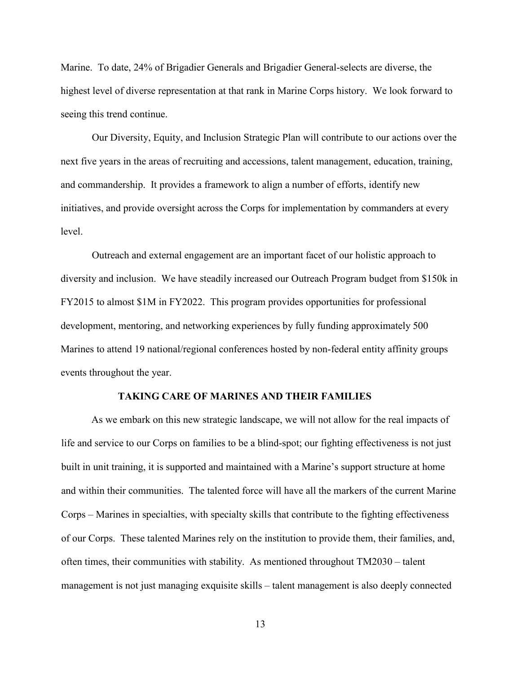Marine. To date, 24% of Brigadier Generals and Brigadier General-selects are diverse, the highest level of diverse representation at that rank in Marine Corps history. We look forward to seeing this trend continue.

Our Diversity, Equity, and Inclusion Strategic Plan will contribute to our actions over the next five years in the areas of recruiting and accessions, talent management, education, training, and commandership. It provides a framework to align a number of efforts, identify new initiatives, and provide oversight across the Corps for implementation by commanders at every level.

Outreach and external engagement are an important facet of our holistic approach to diversity and inclusion. We have steadily increased our Outreach Program budget from \$150k in FY2015 to almost \$1M in FY2022. This program provides opportunities for professional development, mentoring, and networking experiences by fully funding approximately 500 Marines to attend 19 national/regional conferences hosted by non-federal entity affinity groups events throughout the year.

#### **TAKING CARE OF MARINES AND THEIR FAMILIES**

As we embark on this new strategic landscape, we will not allow for the real impacts of life and service to our Corps on families to be a blind-spot; our fighting effectiveness is not just built in unit training, it is supported and maintained with a Marine's support structure at home and within their communities. The talented force will have all the markers of the current Marine Corps – Marines in specialties, with specialty skills that contribute to the fighting effectiveness of our Corps. These talented Marines rely on the institution to provide them, their families, and, often times, their communities with stability. As mentioned throughout TM2030 – talent management is not just managing exquisite skills – talent management is also deeply connected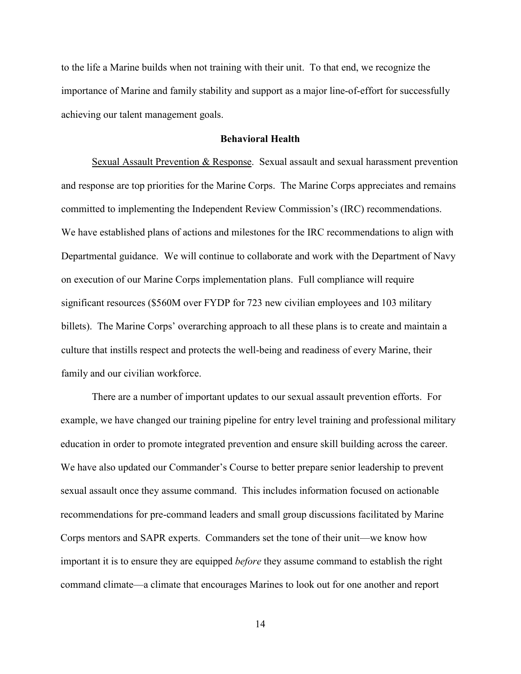to the life a Marine builds when not training with their unit. To that end, we recognize the importance of Marine and family stability and support as a major line-of-effort for successfully achieving our talent management goals.

### **Behavioral Health**

Sexual Assault Prevention & Response. Sexual assault and sexual harassment prevention and response are top priorities for the Marine Corps. The Marine Corps appreciates and remains committed to implementing the Independent Review Commission's (IRC) recommendations. We have established plans of actions and milestones for the IRC recommendations to align with Departmental guidance. We will continue to collaborate and work with the Department of Navy on execution of our Marine Corps implementation plans. Full compliance will require significant resources (\$560M over FYDP for 723 new civilian employees and 103 military billets). The Marine Corps' overarching approach to all these plans is to create and maintain a culture that instills respect and protects the well-being and readiness of every Marine, their family and our civilian workforce.

There are a number of important updates to our sexual assault prevention efforts. For example, we have changed our training pipeline for entry level training and professional military education in order to promote integrated prevention and ensure skill building across the career. We have also updated our Commander's Course to better prepare senior leadership to prevent sexual assault once they assume command. This includes information focused on actionable recommendations for pre-command leaders and small group discussions facilitated by Marine Corps mentors and SAPR experts. Commanders set the tone of their unit—we know how important it is to ensure they are equipped *before* they assume command to establish the right command climate—a climate that encourages Marines to look out for one another and report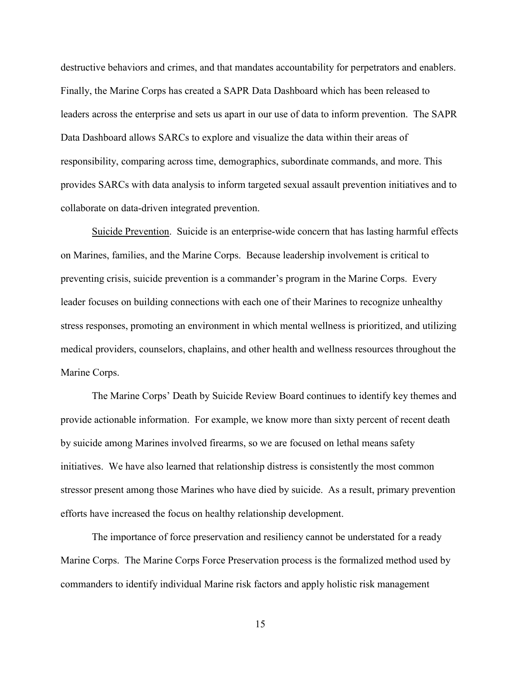destructive behaviors and crimes, and that mandates accountability for perpetrators and enablers. Finally, the Marine Corps has created a SAPR Data Dashboard which has been released to leaders across the enterprise and sets us apart in our use of data to inform prevention. The SAPR Data Dashboard allows SARCs to explore and visualize the data within their areas of responsibility, comparing across time, demographics, subordinate commands, and more. This provides SARCs with data analysis to inform targeted sexual assault prevention initiatives and to collaborate on data-driven integrated prevention.

Suicide Prevention. Suicide is an enterprise-wide concern that has lasting harmful effects on Marines, families, and the Marine Corps. Because leadership involvement is critical to preventing crisis, suicide prevention is a commander's program in the Marine Corps. Every leader focuses on building connections with each one of their Marines to recognize unhealthy stress responses, promoting an environment in which mental wellness is prioritized, and utilizing medical providers, counselors, chaplains, and other health and wellness resources throughout the Marine Corps.

The Marine Corps' Death by Suicide Review Board continues to identify key themes and provide actionable information. For example, we know more than sixty percent of recent death by suicide among Marines involved firearms, so we are focused on lethal means safety initiatives. We have also learned that relationship distress is consistently the most common stressor present among those Marines who have died by suicide. As a result, primary prevention efforts have increased the focus on healthy relationship development.

The importance of force preservation and resiliency cannot be understated for a ready Marine Corps. The Marine Corps Force Preservation process is the formalized method used by commanders to identify individual Marine risk factors and apply holistic risk management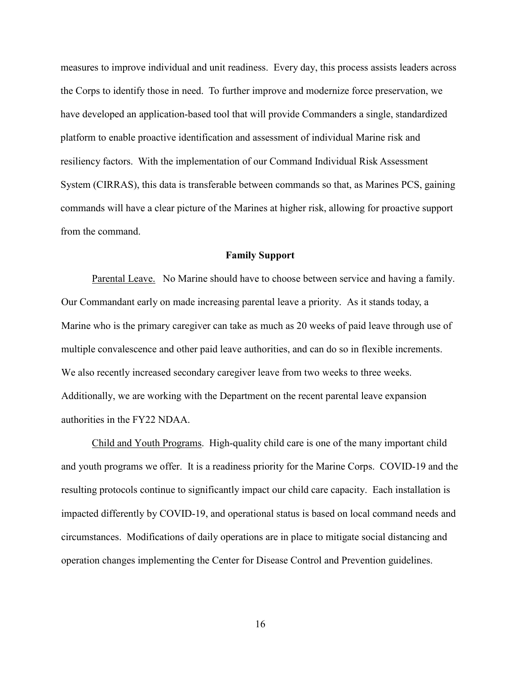measures to improve individual and unit readiness. Every day, this process assists leaders across the Corps to identify those in need. To further improve and modernize force preservation, we have developed an application-based tool that will provide Commanders a single, standardized platform to enable proactive identification and assessment of individual Marine risk and resiliency factors. With the implementation of our Command Individual Risk Assessment System (CIRRAS), this data is transferable between commands so that, as Marines PCS, gaining commands will have a clear picture of the Marines at higher risk, allowing for proactive support from the command.

#### **Family Support**

Parental Leave. No Marine should have to choose between service and having a family. Our Commandant early on made increasing parental leave a priority. As it stands today, a Marine who is the primary caregiver can take as much as 20 weeks of paid leave through use of multiple convalescence and other paid leave authorities, and can do so in flexible increments. We also recently increased secondary caregiver leave from two weeks to three weeks. Additionally, we are working with the Department on the recent parental leave expansion authorities in the FY22 NDAA.

Child and Youth Programs. High-quality child care is one of the many important child and youth programs we offer. It is a readiness priority for the Marine Corps. COVID-19 and the resulting protocols continue to significantly impact our child care capacity. Each installation is impacted differently by COVID-19, and operational status is based on local command needs and circumstances. Modifications of daily operations are in place to mitigate social distancing and operation changes implementing the Center for Disease Control and Prevention guidelines.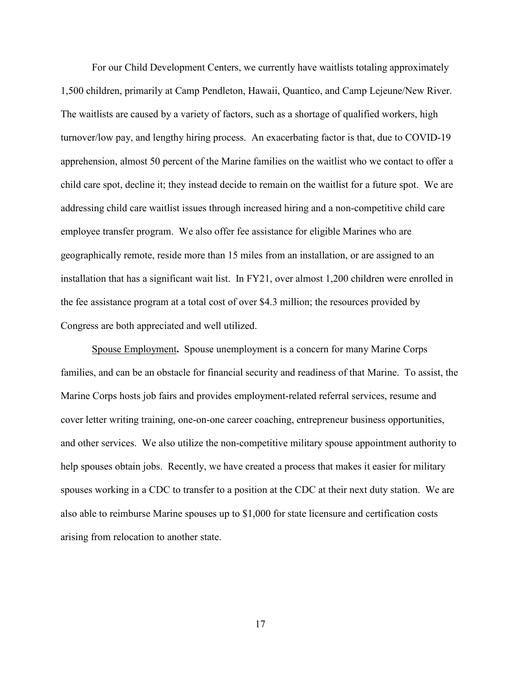For our Child Development Centers, we currently have waitlists totaling approximately 1,500 children, primarily at Camp Pendleton, Hawaii, Quantico, and Camp Lejeune/New River. The waitlists are caused by a variety of factors, such as a shortage of qualified workers, high turnover/low pay, and lengthy hiring process. An exacerbating factor is that, due to COVID-19 apprehension, almost 50 percent of the Marine families on the waitlist who we contact to offer a child care spot, decline it; they instead decide to remain on the waitlist for a future spot. We are addressing child care waitlist issues through increased hiring and a non-competitive child care employee transfer program. We also offer fee assistance for eligible Marines who are geographically remote, reside more than 15 miles from an installation, or are assigned to an installation that has a significant wait list. In FY21, over almost 1,200 children were enrolled in the fee assistance program at a total cost of over \$4.3 million; the resources provided by Congress are both appreciated and well utilized.

Spouse Employment**.** Spouse unemployment is a concern for many Marine Corps families, and can be an obstacle for financial security and readiness of that Marine. To assist, the Marine Corps hosts job fairs and provides employment-related referral services, resume and cover letter writing training, one-on-one career coaching, entrepreneur business opportunities, and other services. We also utilize the non-competitive military spouse appointment authority to help spouses obtain jobs. Recently, we have created a process that makes it easier for military spouses working in a CDC to transfer to a position at the CDC at their next duty station. We are also able to reimburse Marine spouses up to \$1,000 for state licensure and certification costs arising from relocation to another state.